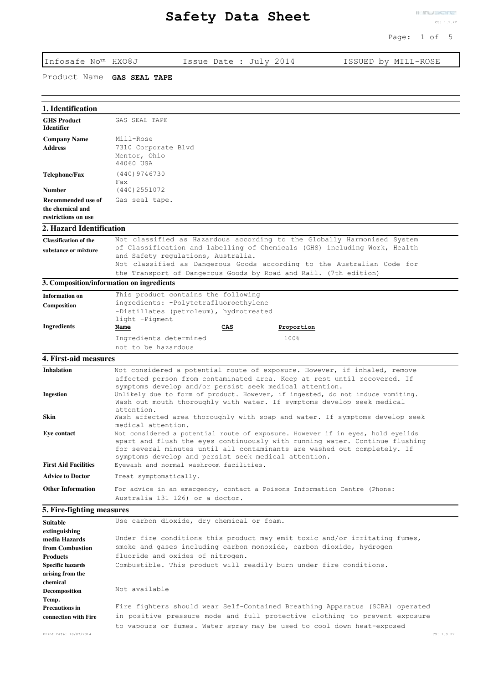Page: 1 of 5

| Infosafe No™ HXO8J                                            | Issue Date : July 2014<br>ISSUED by MILL-ROSE                                                                                                                                                                                                                                                     |
|---------------------------------------------------------------|---------------------------------------------------------------------------------------------------------------------------------------------------------------------------------------------------------------------------------------------------------------------------------------------------|
| Product Name                                                  | <b>GAS SEAL TAPE</b>                                                                                                                                                                                                                                                                              |
| 1. Identification                                             |                                                                                                                                                                                                                                                                                                   |
| <b>GHS Product</b><br><b>Identifier</b>                       | GAS SEAL TAPE                                                                                                                                                                                                                                                                                     |
| <b>Company Name</b>                                           | Mill-Rose                                                                                                                                                                                                                                                                                         |
| <b>Address</b>                                                | 7310 Corporate Blvd<br>Mentor, Ohio<br>44060 USA                                                                                                                                                                                                                                                  |
| Telephone/Fax                                                 | (440) 9746730<br>Fax                                                                                                                                                                                                                                                                              |
| <b>Number</b>                                                 | (440) 2551072                                                                                                                                                                                                                                                                                     |
| Recommended use of<br>the chemical and<br>restrictions on use | Gas seal tape.                                                                                                                                                                                                                                                                                    |
| 2. Hazard Identification                                      |                                                                                                                                                                                                                                                                                                   |
| <b>Classification of the</b>                                  | Not classified as Hazardous according to the Globally Harmonised System                                                                                                                                                                                                                           |
| substance or mixture                                          | of Classification and labelling of Chemicals (GHS) including Work, Health<br>and Safety regulations, Australia.<br>Not classified as Dangerous Goods according to the Australian Code for                                                                                                         |
|                                                               | the Transport of Dangerous Goods by Road and Rail. (7th edition)                                                                                                                                                                                                                                  |
|                                                               | 3. Composition/information on ingredients                                                                                                                                                                                                                                                         |
| <b>Information on</b>                                         | This product contains the following<br>ingredients: -Polytetrafluoroethylene                                                                                                                                                                                                                      |
| Composition                                                   | -Distillates (petroleum), hydrotreated<br>light -Pigment                                                                                                                                                                                                                                          |
| <b>Ingredients</b>                                            | Name<br>CAS<br>Proportion                                                                                                                                                                                                                                                                         |
|                                                               | Ingredients determined<br>100%                                                                                                                                                                                                                                                                    |
|                                                               | not to be hazardous                                                                                                                                                                                                                                                                               |
| <b>4. First-aid measures</b>                                  |                                                                                                                                                                                                                                                                                                   |
| <b>Inhalation</b>                                             | Not considered a potential route of exposure. However, if inhaled, remove<br>affected person from contaminated area. Keep at rest until recovered. If<br>symptoms develop and/or persist seek medical attention.                                                                                  |
| <b>Ingestion</b>                                              | Unlikely due to form of product. However, if ingested, do not induce vomiting.<br>Wash out mouth thoroughly with water. If symptoms develop seek medical<br>attention.                                                                                                                            |
| Skin                                                          | Wash affected area thoroughly with soap and water. If symptoms develop seek<br>medical attention.                                                                                                                                                                                                 |
| <b>Eye contact</b>                                            | Not considered a potential route of exposure. However if in eyes, hold eyelids<br>apart and flush the eyes continuously with running water. Continue flushing<br>for several minutes until all contaminants are washed out completely. If<br>symptoms develop and persist seek medical attention. |
| <b>First Aid Facilities</b>                                   | Eyewash and normal washroom facilities.                                                                                                                                                                                                                                                           |
| <b>Advice to Doctor</b>                                       | Treat symptomatically.                                                                                                                                                                                                                                                                            |
| <b>Other Information</b>                                      | For advice in an emergency, contact a Poisons Information Centre (Phone:<br>Australia 131 126) or a doctor.                                                                                                                                                                                       |
| 5. Fire-fighting measures                                     |                                                                                                                                                                                                                                                                                                   |
| <b>Suitable</b>                                               | Use carbon dioxide, dry chemical or foam.                                                                                                                                                                                                                                                         |
| extinguishing                                                 |                                                                                                                                                                                                                                                                                                   |
| media Hazards<br>from Combustion                              | Under fire conditions this product may emit toxic and/or irritating fumes,<br>smoke and gases including carbon monoxide, carbon dioxide, hydrogen                                                                                                                                                 |
| <b>Products</b>                                               | fluoride and oxides of nitrogen.                                                                                                                                                                                                                                                                  |
| <b>Specific hazards</b><br>arising from the                   | Combustible. This product will readily burn under fire conditions.                                                                                                                                                                                                                                |
| chemical<br><b>Decomposition</b>                              | Not available                                                                                                                                                                                                                                                                                     |
| Temp.<br><b>Precautions in</b><br>connection with Fire        | Fire fighters should wear Self-Contained Breathing Apparatus (SCBA) operated<br>in positive pressure mode and full protective clothing to prevent exposure                                                                                                                                        |
|                                                               | to vapours or fumes. Water spray may be used to cool down heat-exposed                                                                                                                                                                                                                            |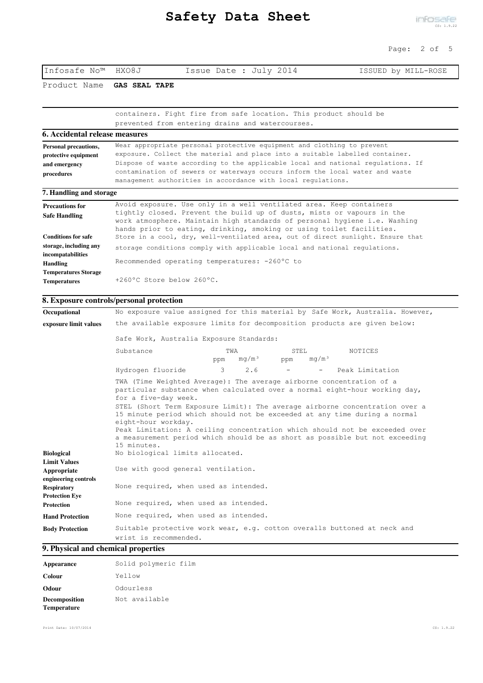| Infosafe No™ HXO8J         | Issue Date : July 2014                                            | ISSUED by MILL-ROSE |
|----------------------------|-------------------------------------------------------------------|---------------------|
| Product Name GAS SEAL TAPE |                                                                   |                     |
|                            |                                                                   |                     |
|                            | containers. Fight fire from safe location. This product should be |                     |
|                            | prevented from entering drains and watercourses.                  |                     |

| 6. Accidental release measures |                                                                                                                                                                                                                             |  |
|--------------------------------|-----------------------------------------------------------------------------------------------------------------------------------------------------------------------------------------------------------------------------|--|
| <b>Personal precautions,</b>   | Wear appropriate personal protective equipment and clothing to prevent                                                                                                                                                      |  |
| protective equipment           | exposure. Collect the material and place into a suitable labelled container.                                                                                                                                                |  |
| and emergency                  | Dispose of waste according to the applicable local and national regulations. If                                                                                                                                             |  |
| procedures                     | contamination of sewers or waterways occurs inform the local water and waste                                                                                                                                                |  |
|                                | management authorities in accordance with local regulations.                                                                                                                                                                |  |
| 7. Handling and storage        |                                                                                                                                                                                                                             |  |
| <b>Precautions for</b>         | Avoid exposure. Use only in a well ventilated area. Keep containers                                                                                                                                                         |  |
| <b>Safe Handling</b>           | tightly closed. Prevent the build up of dusts, mists or vapours in the<br>work atmosphere. Maintain high standards of personal hygiene i.e. Washing<br>hands prior to eating, drinking, smoking or using toilet facilities. |  |
| <b>Conditions for safe</b>     | Store in a cool, dry, well-ventilated area, out of direct sunlight. Ensure that                                                                                                                                             |  |
| storage, including any         | storage conditions comply with applicable local and national regulations.                                                                                                                                                   |  |
| incompatabilities              |                                                                                                                                                                                                                             |  |

Recommended operating temperatures: -260ºC to

**Temperatures Storage Temperatures** +260ºC Store below 260ºC.

## **8. Exposure controls/personal protection**

**Handling** 

| Occupational                                               |                                                                                                                                    |                                          |              | No exposure value assigned for this material by Safe Work, Australia. However,                                                                                                                                                                                                                                                                                                                      |  |
|------------------------------------------------------------|------------------------------------------------------------------------------------------------------------------------------------|------------------------------------------|--------------|-----------------------------------------------------------------------------------------------------------------------------------------------------------------------------------------------------------------------------------------------------------------------------------------------------------------------------------------------------------------------------------------------------|--|
| exposure limit values                                      |                                                                                                                                    |                                          |              | the available exposure limits for decomposition products are given below:                                                                                                                                                                                                                                                                                                                           |  |
|                                                            |                                                                                                                                    | Safe Work, Australia Exposure Standards: |              |                                                                                                                                                                                                                                                                                                                                                                                                     |  |
|                                                            | Substance                                                                                                                          | TWA<br>mq/m <sup>3</sup><br>ppm          | STEL.<br>ppm | NOTICES<br>mq/m <sup>3</sup>                                                                                                                                                                                                                                                                                                                                                                        |  |
|                                                            | Hydrogen fluoride                                                                                                                  | $\mathcal{R}$<br>2.6                     |              | Peak Limitation<br>$\sim$ 100 $\mu$                                                                                                                                                                                                                                                                                                                                                                 |  |
|                                                            | TWA (Time Weighted Average): The average airborne concentration of a<br>for a five-day week.<br>eight-hour workday.<br>15 minutes. |                                          |              | particular substance when calculated over a normal eight-hour working day,<br>STEL (Short Term Exposure Limit): The average airborne concentration over a<br>15 minute period which should not be exceeded at any time during a normal<br>Peak Limitation: A ceiling concentration which should not be exceeded over<br>a measurement period which should be as short as possible but not exceeding |  |
| <b>Biological</b>                                          | No biological limits allocated.                                                                                                    |                                          |              |                                                                                                                                                                                                                                                                                                                                                                                                     |  |
| <b>Limit Values</b><br>Appropriate<br>engineering controls | Use with good general ventilation.                                                                                                 |                                          |              |                                                                                                                                                                                                                                                                                                                                                                                                     |  |
| <b>Respiratory</b><br><b>Protection Eve</b>                | None required, when used as intended.                                                                                              |                                          |              |                                                                                                                                                                                                                                                                                                                                                                                                     |  |
| <b>Protection</b>                                          | None required, when used as intended.                                                                                              |                                          |              |                                                                                                                                                                                                                                                                                                                                                                                                     |  |
| <b>Hand Protection</b>                                     | None required, when used as intended.                                                                                              |                                          |              |                                                                                                                                                                                                                                                                                                                                                                                                     |  |
| <b>Body Protection</b>                                     | wrist is recommended.                                                                                                              |                                          |              | Suitable protective work wear, e.g. cotton overalls buttoned at neck and                                                                                                                                                                                                                                                                                                                            |  |

#### **9. Physical and chemical properties**

| Appearance                   | Solid polymeric film |
|------------------------------|----------------------|
| Colour                       | Yellow               |
| Odour                        | Odourless            |
| Decomposition<br>Temperature | Not available        |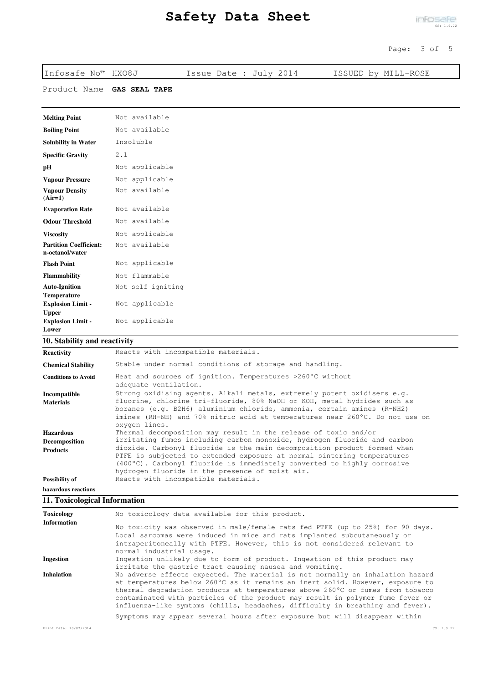| Infosafe No™ HXO8J                                             |                      | Issue Date : July 2014 | ISSUED by MILL-ROSE |
|----------------------------------------------------------------|----------------------|------------------------|---------------------|
| Product Name                                                   | <b>GAS SEAL TAPE</b> |                        |                     |
|                                                                |                      |                        |                     |
| <b>Melting Point</b>                                           | Not available        |                        |                     |
| <b>Boiling Point</b>                                           | Not available        |                        |                     |
| <b>Solubility in Water</b>                                     | Insoluble            |                        |                     |
| <b>Specific Gravity</b>                                        | 2.1                  |                        |                     |
| pH                                                             | Not applicable       |                        |                     |
| <b>Vapour Pressure</b>                                         | Not applicable       |                        |                     |
| <b>Vapour Density</b><br>$(Air=1)$                             | Not available        |                        |                     |
| <b>Evaporation Rate</b>                                        | Not available        |                        |                     |
| <b>Odour Threshold</b>                                         | Not available        |                        |                     |
| <b>Viscosity</b>                                               | Not applicable       |                        |                     |
| <b>Partition Coefficient:</b><br>n-octanol/water               | Not available        |                        |                     |
| <b>Flash Point</b>                                             | Not applicable       |                        |                     |
| <b>Flammability</b>                                            | Not flammable        |                        |                     |
| <b>Auto-Ignition</b>                                           | Not self igniting    |                        |                     |
| <b>Temperature</b><br><b>Explosion Limit -</b><br><b>Upper</b> | Not applicable       |                        |                     |
| <b>Explosion Limit -</b><br>Lower                              | Not applicable       |                        |                     |

# **10. Stability and reactivity**

| <b>Reactivity</b>          | Reacts with incompatible materials.                                                                                                                                                                                                                                                         |
|----------------------------|---------------------------------------------------------------------------------------------------------------------------------------------------------------------------------------------------------------------------------------------------------------------------------------------|
| <b>Chemical Stability</b>  | Stable under normal conditions of storage and handling.                                                                                                                                                                                                                                     |
| <b>Conditions to Avoid</b> | Heat and sources of ignition. Temperatures >260°C without<br>adequate ventilation.                                                                                                                                                                                                          |
| Incompatible               | Strong oxidising agents. Alkali metals, extremely potent oxidisers e.g.                                                                                                                                                                                                                     |
| <b>Materials</b>           | fluorine, chlorine tri-fluoride, 80% NaOH or KOH, metal hydrides such as<br>boranes (e.g. B2H6) aluminium chloride, ammonia, certain amines (R-NH2)<br>imines (RH-NH) and 70% nitric acid at temperatures near 260°C. Do not use on<br>oxygen lines.                                        |
| <b>Hazardous</b>           | Thermal decomposition may result in the release of toxic and/or                                                                                                                                                                                                                             |
| <b>Decomposition</b>       | irritating fumes including carbon monoxide, hydrogen fluoride and carbon                                                                                                                                                                                                                    |
| <b>Products</b>            | dioxide. Carbonyl fluoride is the main decomposition product formed when<br>PTFE is subjected to extended exposure at normal sintering temperatures<br>$(400^{\circ}C)$ . Carbonyl fluoride is immediately converted to highly corrosive<br>hydrogen fluoride in the presence of moist air. |
| Possibility of             | Reacts with incompatible materials.                                                                                                                                                                                                                                                         |
| hazardous reactions        |                                                                                                                                                                                                                                                                                             |

# **11. Toxicological Information**

| Toxicology             | No toxicology data available for this product.                                                                                                                                                                                                                                                                                                                                                                         |            |
|------------------------|------------------------------------------------------------------------------------------------------------------------------------------------------------------------------------------------------------------------------------------------------------------------------------------------------------------------------------------------------------------------------------------------------------------------|------------|
| <b>Information</b>     | No toxicity was observed in male/female rats fed PTFE (up to 25%) for 90 days.<br>Local sarcomas were induced in mice and rats implanted subcutaneously or<br>intraperitoneally with PTFE. However, this is not considered relevant to<br>normal industrial usage.                                                                                                                                                     |            |
| <b>Ingestion</b>       | Ingestion unlikely due to form of product. Ingestion of this product may<br>irritate the qastric tract causing nausea and vomiting.                                                                                                                                                                                                                                                                                    |            |
| <b>Inhalation</b>      | No adverse effects expected. The material is not normally an inhalation hazard<br>at temperatures below 260°C as it remains an inert solid. However, exposure to<br>thermal degradation products at temperatures above 260°C or fumes from tobacco<br>contaminated with particles of the product may result in polymer fume fever or<br>influenza-like symtoms (chills, headaches, difficulty in breathing and fever). |            |
|                        | Symptoms may appear several hours after exposure but will disappear within                                                                                                                                                                                                                                                                                                                                             |            |
| Print Date: 10/07/2014 |                                                                                                                                                                                                                                                                                                                                                                                                                        | CS: 1.9.22 |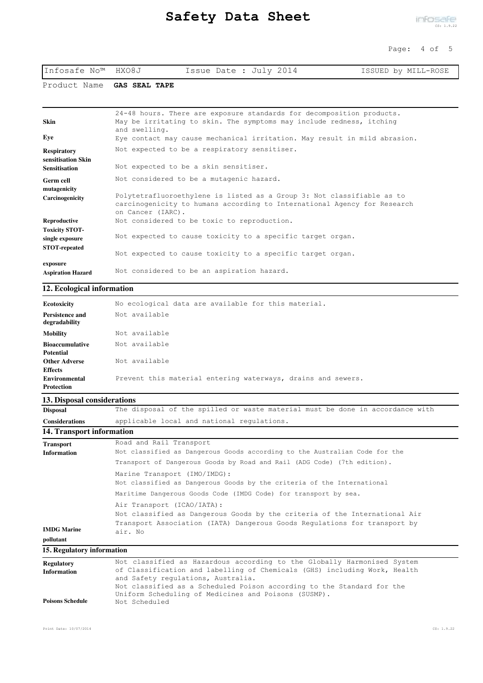| Infosafe No™ HXO8J | Issue Date : July 2014 | ISSUED by MILL-ROSE |
|--------------------|------------------------|---------------------|
|--------------------|------------------------|---------------------|

Product Name **GAS SEAL TAPE**

| Skin                                     | 24-48 hours. There are exposure standards for decomposition products.<br>May be irritating to skin. The symptoms may include redness, itching<br>and swelling.          |
|------------------------------------------|-------------------------------------------------------------------------------------------------------------------------------------------------------------------------|
| Eye                                      | Eye contact may cause mechanical irritation. May result in mild abrasion.                                                                                               |
| <b>Respiratory</b><br>sensitisation Skin | Not expected to be a respiratory sensitiser.                                                                                                                            |
| <b>Sensitisation</b>                     | Not expected to be a skin sensitiser.                                                                                                                                   |
| <b>Germ cell</b><br>mutagenicity         | Not considered to be a mutagenic hazard.                                                                                                                                |
| Carcinogenicity                          | Polytetrafluoroethylene is listed as a Group 3: Not classifiable as to<br>carcinogenicity to humans according to International Agency for Research<br>on Cancer (IARC). |
| Reproductive                             | Not considered to be toxic to reproduction.                                                                                                                             |
| <b>Toxicity STOT-</b><br>single exposure | Not expected to cause toxicity to a specific target organ.                                                                                                              |
| <b>STOT-repeated</b>                     | Not expected to cause toxicity to a specific target organ.                                                                                                              |
| exposure                                 | Not considered to be an aspiration hazard.                                                                                                                              |
| <b>Aspiration Hazard</b>                 |                                                                                                                                                                         |

#### **12. Ecological information**

| Ecotoxicity                      | No ecological data are available for this material.          |
|----------------------------------|--------------------------------------------------------------|
| Persistence and<br>degradability | Not available                                                |
| Mobility                         | Not available                                                |
| <b>Bioaccumulative</b>           | Not available                                                |
| <b>Potential</b>                 |                                                              |
| <b>Other Adverse</b>             | Not available                                                |
| <b>Effects</b>                   |                                                              |
| Environmental                    | Prevent this material entering waterways, drains and sewers. |
| <b>Protection</b>                |                                                              |

### **13. Disposal considerations**

| <b>Disposal</b>       | The disposal of the spilled or waste material must be done in accordance with |
|-----------------------|-------------------------------------------------------------------------------|
| <b>Considerations</b> | applicable local and national regulations.                                    |

### **14. Transport information**

| <b>Transport</b><br><b>Information</b> | Road and Rail Transport<br>Not classified as Dangerous Goods according to the Australian Code for the                                                                                            |
|----------------------------------------|--------------------------------------------------------------------------------------------------------------------------------------------------------------------------------------------------|
|                                        | Transport of Dangerous Goods by Road and Rail (ADG Code) (7th edition).                                                                                                                          |
|                                        | Marine Transport (IMO/IMDG):<br>Not classified as Dangerous Goods by the criteria of the International<br>Maritime Dangerous Goods Code (IMDG Code) for transport by sea.                        |
| <b>IMDG Marine</b>                     | Air Transport (ICAO/IATA):<br>Not classified as Dangerous Goods by the criteria of the International Air<br>Transport Association (IATA) Dangerous Goods Regulations for transport by<br>air. No |
| pollutant                              |                                                                                                                                                                                                  |
| 15. Regulatory information             |                                                                                                                                                                                                  |

| <b>Regulatory</b>       | Not classified as Hazardous according to the Globally Harmonised System   |
|-------------------------|---------------------------------------------------------------------------|
| <b>Information</b>      | of Classification and labelling of Chemicals (GHS) including Work, Health |
|                         | and Safety regulations, Australia.                                        |
|                         | Not classified as a Scheduled Poison according to the Standard for the    |
|                         | Uniform Scheduling of Medicines and Poisons (SUSMP).                      |
| <b>Poisons Schedule</b> | Not Scheduled                                                             |